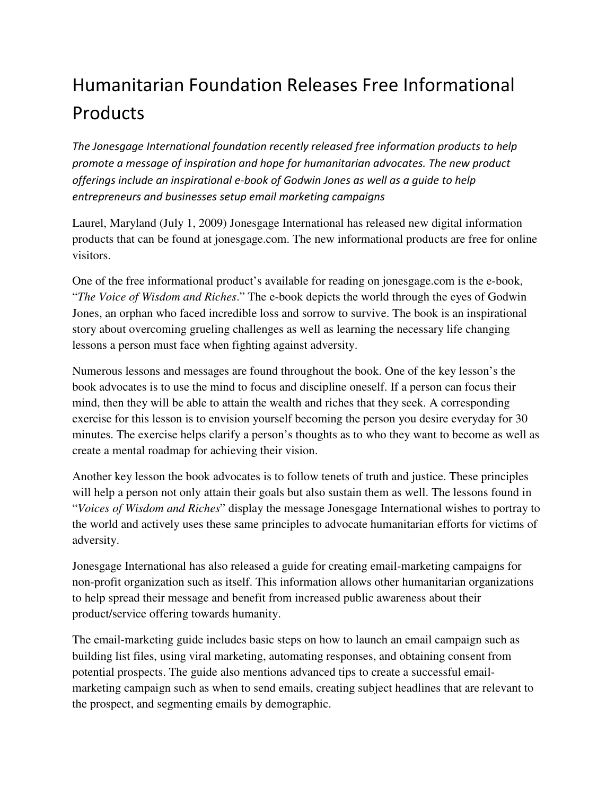## Humanitarian Foundation Releases Free Informational Products

The Jonesgage International foundation recently released free information products to help promote a message of inspiration and hope for humanitarian advocates. The new product offerings include an inspirational e-book of Godwin Jones as well as a guide to help entrepreneurs and businesses setup email marketing campaigns

Laurel, Maryland (July 1, 2009) Jonesgage International has released new digital information products that can be found at jonesgage.com. The new informational products are free for online visitors.

One of the free informational product's available for reading on jonesgage.com is the e-book, "*The Voice of Wisdom and Riches*." The e-book depicts the world through the eyes of Godwin Jones, an orphan who faced incredible loss and sorrow to survive. The book is an inspirational story about overcoming grueling challenges as well as learning the necessary life changing lessons a person must face when fighting against adversity.

Numerous lessons and messages are found throughout the book. One of the key lesson's the book advocates is to use the mind to focus and discipline oneself. If a person can focus their mind, then they will be able to attain the wealth and riches that they seek. A corresponding exercise for this lesson is to envision yourself becoming the person you desire everyday for 30 minutes. The exercise helps clarify a person's thoughts as to who they want to become as well as create a mental roadmap for achieving their vision.

Another key lesson the book advocates is to follow tenets of truth and justice. These principles will help a person not only attain their goals but also sustain them as well. The lessons found in "*Voices of Wisdom and Riches*" display the message Jonesgage International wishes to portray to the world and actively uses these same principles to advocate humanitarian efforts for victims of adversity.

Jonesgage International has also released a guide for creating email-marketing campaigns for non-profit organization such as itself. This information allows other humanitarian organizations to help spread their message and benefit from increased public awareness about their product/service offering towards humanity.

The email-marketing guide includes basic steps on how to launch an email campaign such as building list files, using viral marketing, automating responses, and obtaining consent from potential prospects. The guide also mentions advanced tips to create a successful emailmarketing campaign such as when to send emails, creating subject headlines that are relevant to the prospect, and segmenting emails by demographic.